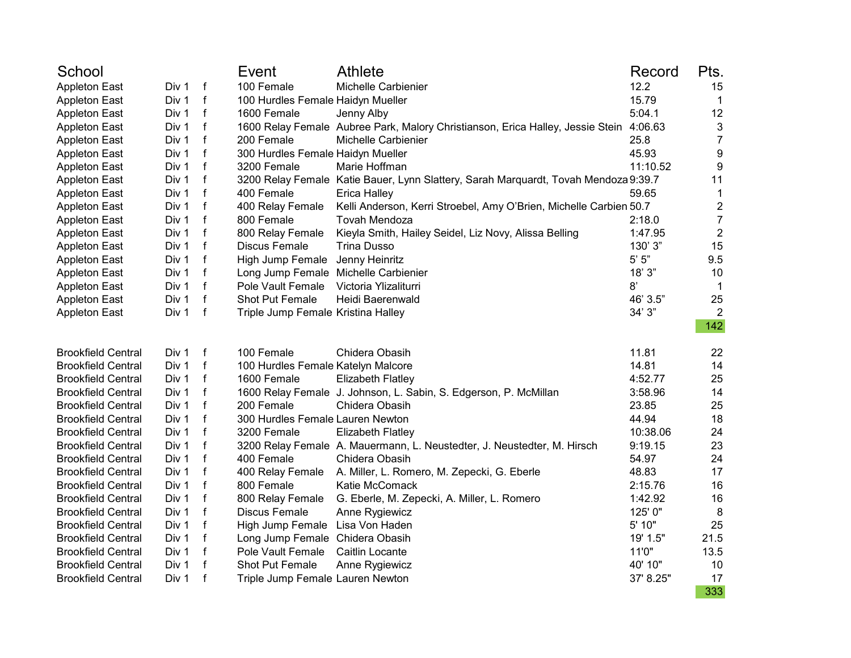| School                    |       |              | Event                                | <b>Athlete</b>                                                                         | Record    | Pts.             |
|---------------------------|-------|--------------|--------------------------------------|----------------------------------------------------------------------------------------|-----------|------------------|
| <b>Appleton East</b>      | Div 1 | f            | 100 Female                           | Michelle Carbienier                                                                    | 12.2      | 15               |
| <b>Appleton East</b>      | Div 1 | $\mathsf f$  | 100 Hurdles Female Haidyn Mueller    |                                                                                        | 15.79     | $\mathbf 1$      |
| <b>Appleton East</b>      | Div 1 | $\mathsf{f}$ | 1600 Female                          | Jenny Alby                                                                             | 5:04.1    | 12               |
| <b>Appleton East</b>      | Div 1 | $\mathbf f$  |                                      | 1600 Relay Female Aubree Park, Malory Christianson, Erica Halley, Jessie Stein 4:06.63 |           | 3                |
| <b>Appleton East</b>      | Div 1 | $\mathbf f$  | 200 Female                           | Michelle Carbienier                                                                    | 25.8      | $\overline{7}$   |
| <b>Appleton East</b>      | Div 1 | $\mathsf{f}$ | 300 Hurdles Female Haidyn Mueller    |                                                                                        | 45.93     | 9                |
| <b>Appleton East</b>      | Div 1 | f            | 3200 Female                          | Marie Hoffman                                                                          | 11:10.52  | 9                |
| <b>Appleton East</b>      | Div 1 | f            |                                      | 3200 Relay Female Katie Bauer, Lynn Slattery, Sarah Marquardt, Tovah Mendoza 9:39.7    |           | 11               |
| <b>Appleton East</b>      | Div 1 | $\mathsf{f}$ | 400 Female                           | <b>Erica Halley</b>                                                                    | 59.65     | $\mathbf{1}$     |
| <b>Appleton East</b>      | Div 1 | f            | 400 Relay Female                     | Kelli Anderson, Kerri Stroebel, Amy O'Brien, Michelle Carbien 50.7                     |           | $\mathbf 2$      |
| <b>Appleton East</b>      | Div 1 | $\mathbf f$  | 800 Female                           | Tovah Mendoza                                                                          | 2:18.0    | $\overline{7}$   |
| <b>Appleton East</b>      | Div 1 | $\mathbf f$  | 800 Relay Female                     | Kieyla Smith, Hailey Seidel, Liz Novy, Alissa Belling                                  | 1:47.95   | $\boldsymbol{2}$ |
| <b>Appleton East</b>      | Div 1 | $\mathbf f$  | <b>Discus Female</b>                 | Trina Dusso                                                                            | 130' 3"   | 15               |
| <b>Appleton East</b>      | Div 1 | f            | High Jump Female Jenny Heinritz      |                                                                                        | $5'$ $5"$ | 9.5              |
| <b>Appleton East</b>      | Div 1 | f            | Long Jump Female Michelle Carbienier |                                                                                        | 18'3"     | 10               |
| <b>Appleton East</b>      | Div 1 | $\mathsf{f}$ | Pole Vault Female                    | Victoria Ylizaliturri                                                                  | 8'        | $\mathbf 1$      |
| <b>Appleton East</b>      | Div 1 | $\mathbf{f}$ | Shot Put Female                      | Heidi Baerenwald                                                                       | 46' 3.5"  | 25               |
| <b>Appleton East</b>      | Div 1 | $\mathsf{f}$ | Triple Jump Female Kristina Halley   |                                                                                        | 34'3''    | $\overline{2}$   |
|                           |       |              |                                      |                                                                                        |           | 142              |
| <b>Brookfield Central</b> | Div 1 | $\mathsf{f}$ | 100 Female                           | Chidera Obasih                                                                         | 11.81     | 22               |
| <b>Brookfield Central</b> | Div 1 | $\mathsf f$  | 100 Hurdles Female Katelyn Malcore   |                                                                                        | 14.81     | 14               |
| <b>Brookfield Central</b> | Div 1 | f            | 1600 Female                          | <b>Elizabeth Flatley</b>                                                               | 4:52.77   | 25               |
| <b>Brookfield Central</b> | Div 1 | $\mathsf{f}$ |                                      | 1600 Relay Female J. Johnson, L. Sabin, S. Edgerson, P. McMillan                       | 3:58.96   | 14               |
| <b>Brookfield Central</b> | Div 1 | $\mathbf f$  | 200 Female                           | Chidera Obasih                                                                         | 23.85     | 25               |
| <b>Brookfield Central</b> | Div 1 | $\mathbf f$  | 300 Hurdles Female Lauren Newton     |                                                                                        | 44.94     | 18               |
| <b>Brookfield Central</b> | Div 1 | $\mathsf{f}$ | 3200 Female                          | <b>Elizabeth Flatley</b>                                                               | 10:38.06  | 24               |
| <b>Brookfield Central</b> | Div 1 | $\mathsf f$  |                                      | 3200 Relay Female A. Mauermann, L. Neustedter, J. Neustedter, M. Hirsch                | 9:19.15   | 23               |
| <b>Brookfield Central</b> | Div 1 | $\mathsf{f}$ | 400 Female                           | Chidera Obasih                                                                         | 54.97     | 24               |
| <b>Brookfield Central</b> | Div 1 | f            | 400 Relay Female                     | A. Miller, L. Romero, M. Zepecki, G. Eberle                                            | 48.83     | 17               |
| <b>Brookfield Central</b> | Div 1 | $\mathsf{f}$ | 800 Female                           | Katie McComack                                                                         | 2:15.76   | 16               |
| <b>Brookfield Central</b> | Div 1 | $\mathbf f$  | 800 Relay Female                     | G. Eberle, M. Zepecki, A. Miller, L. Romero                                            | 1:42.92   | 16               |
| <b>Brookfield Central</b> | Div 1 | $\mathbf{f}$ | <b>Discus Female</b>                 | Anne Rygiewicz                                                                         | 125' 0"   | 8                |
| <b>Brookfield Central</b> | Div 1 | f            | High Jump Female Lisa Von Haden      |                                                                                        | 5' 10"    | 25               |
| <b>Brookfield Central</b> | Div 1 | $\mathsf f$  | Long Jump Female Chidera Obasih      |                                                                                        | 19' 1.5"  | 21.5             |
| <b>Brookfield Central</b> | Div 1 | f            | Pole Vault Female                    | Caitlin Locante                                                                        | 11'0"     | 13.5             |
| <b>Brookfield Central</b> | Div 1 | $\mathsf{f}$ | Shot Put Female                      | Anne Rygiewicz                                                                         | 40' 10"   | 10               |
| <b>Brookfield Central</b> | Div 1 | $\mathsf{f}$ | Triple Jump Female Lauren Newton     |                                                                                        | 37' 8.25" | 17               |
|                           |       |              |                                      |                                                                                        |           | 333              |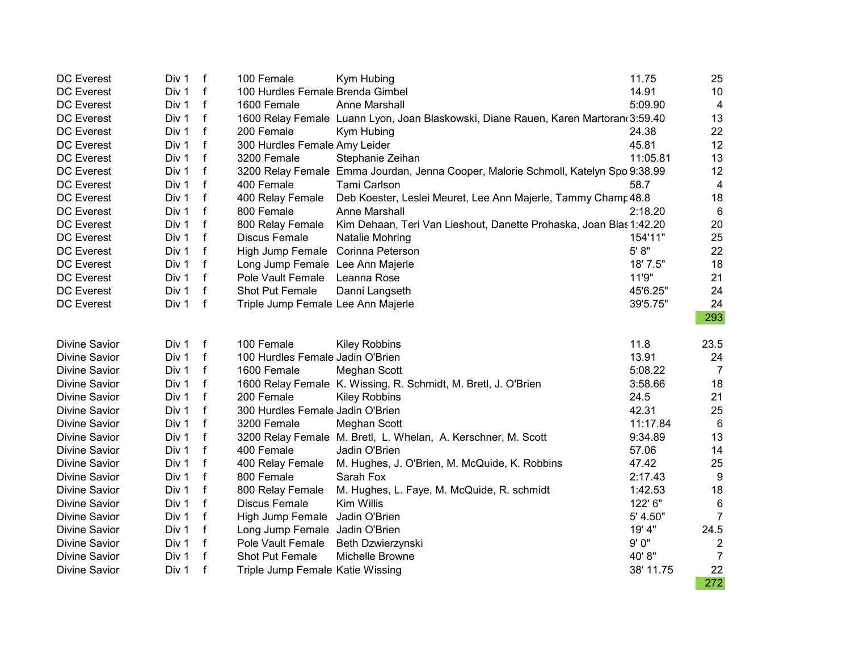| DC Everest           | Div 1 | $-f$         | 100 Female                         | Kym Hubing                                                                         | 11.75     | 25              |
|----------------------|-------|--------------|------------------------------------|------------------------------------------------------------------------------------|-----------|-----------------|
| <b>DC</b> Everest    | Div 1 | f            | 100 Hurdles Female Brenda Gimbel   |                                                                                    | 14.91     | 10              |
| DC Everest           | Div 1 | f            | 1600 Female                        | Anne Marshall                                                                      | 5:09.90   | $\overline{4}$  |
| <b>DC</b> Everest    | Div 1 | $\mathbf f$  |                                    | 1600 Relay Female Luann Lyon, Joan Blaskowski, Diane Rauen, Karen Martoran 3:59.40 |           | 13              |
| <b>DC</b> Everest    | Div 1 | $\mathbf f$  | 200 Female                         | Kym Hubing                                                                         | 24.38     | 22              |
| <b>DC Everest</b>    | Div 1 | $\mathbf f$  | 300 Hurdles Female Amy Leider      |                                                                                    | 45.81     | 12              |
| <b>DC Everest</b>    | Div 1 | $\mathbf f$  | 3200 Female                        | Stephanie Zeihan                                                                   | 11:05.81  | 13              |
| DC Everest           | Div 1 | f            |                                    | 3200 Relay Female Emma Jourdan, Jenna Cooper, Malorie Schmoll, Katelyn Spo 9:38.99 |           | 12              |
| <b>DC</b> Everest    | Div 1 | f            | 400 Female                         | Tami Carlson                                                                       | 58.7      | $\overline{4}$  |
| <b>DC Everest</b>    | Div 1 | f            | 400 Relay Female                   | Deb Koester, Leslei Meuret, Lee Ann Majerle, Tammy Champ 48.8                      |           | 18              |
| <b>DC Everest</b>    | Div 1 | $\mathbf f$  | 800 Female                         | Anne Marshall                                                                      | 2:18.20   | $6\phantom{1}6$ |
| DC Everest           | Div 1 | f            | 800 Relay Female                   | Kim Dehaan, Teri Van Lieshout, Danette Prohaska, Joan Blas 1:42.20                 |           | 20              |
| <b>DC</b> Everest    | Div 1 | f            | Discus Female                      | Natalie Mohring                                                                    | 154'11"   | 25              |
| <b>DC Everest</b>    | Div 1 | f            | High Jump Female Corinna Peterson  |                                                                                    | 5' 8''    | 22              |
| <b>DC Everest</b>    | Div 1 | $\mathbf{f}$ | Long Jump Female Lee Ann Majerle   |                                                                                    | 18' 7.5"  | 18              |
| <b>DC</b> Everest    | Div 1 | f            | Pole Vault Female                  | Leanna Rose                                                                        | 11'9"     | 21              |
| DC Everest           | Div 1 | f            | Shot Put Female                    | Danni Langseth                                                                     | 45'6.25"  | 24              |
| <b>DC</b> Everest    | Div 1 | f            | Triple Jump Female Lee Ann Majerle |                                                                                    | 39'5.75"  | 24              |
|                      |       |              |                                    |                                                                                    |           | 293             |
| <b>Divine Savior</b> | Div 1 | $\mathsf f$  | 100 Female                         | <b>Kiley Robbins</b>                                                               | 11.8      | 23.5            |
| <b>Divine Savior</b> | Div 1 | f            | 100 Hurdles Female Jadin O'Brien   |                                                                                    | 13.91     | 24              |
| <b>Divine Savior</b> | Div 1 | $\mathbf f$  | 1600 Female                        | <b>Meghan Scott</b>                                                                | 5:08.22   | $\overline{7}$  |
| <b>Divine Savior</b> | Div 1 | f            |                                    | 1600 Relay Female K. Wissing, R. Schmidt, M. Bretl, J. O'Brien                     | 3:58.66   | 18              |
| <b>Divine Savior</b> | Div 1 | f            | 200 Female                         | <b>Kiley Robbins</b>                                                               | 24.5      | 21              |
| <b>Divine Savior</b> | Div 1 | $\mathsf{f}$ | 300 Hurdles Female Jadin O'Brien   |                                                                                    | 42.31     | 25              |
| <b>Divine Savior</b> | Div 1 | $\mathbf{f}$ | 3200 Female                        | Meghan Scott                                                                       | 11:17.84  | $6\phantom{1}6$ |
| <b>Divine Savior</b> | Div 1 | f            |                                    | 3200 Relay Female M. Bretl, L. Whelan, A. Kerschner, M. Scott                      | 9:34.89   | 13              |
| <b>Divine Savior</b> | Div 1 | $\mathbf f$  | 400 Female                         | Jadin O'Brien                                                                      | 57.06     | 14              |
| <b>Divine Savior</b> | Div 1 | $\mathbf f$  | 400 Relay Female                   | M. Hughes, J. O'Brien, M. McQuide, K. Robbins                                      | 47.42     | 25              |
| <b>Divine Savior</b> | Div 1 | $\mathbf f$  | 800 Female                         | Sarah Fox                                                                          | 2:17.43   | 9               |
| <b>Divine Savior</b> | Div 1 | $\mathbf f$  | 800 Relay Female                   | M. Hughes, L. Faye, M. McQuide, R. schmidt                                         | 1:42.53   | 18              |
| <b>Divine Savior</b> | Div 1 | f            | Discus Female                      | Kim Willis                                                                         | 122' 6"   | $\,6$           |
| <b>Divine Savior</b> | Div 1 | f            | High Jump Female                   | Jadin O'Brien                                                                      | 5' 4.50"  | $\overline{7}$  |
| <b>Divine Savior</b> | Div 1 | f            | Long Jump Female Jadin O'Brien     |                                                                                    | 19' 4"    | 24.5            |
| <b>Divine Savior</b> | Div 1 | f            | Pole Vault Female                  | Beth Dzwierzynski                                                                  | 9'0"      | $\overline{2}$  |
| <b>Divine Savior</b> | Div 1 | f            | Shot Put Female                    | Michelle Browne                                                                    | 40'8"     | $\overline{7}$  |
| <b>Divine Savior</b> | Div 1 | f            | Triple Jump Female Katie Wissing   |                                                                                    | 38' 11.75 | 22              |
|                      |       |              |                                    |                                                                                    |           | 272             |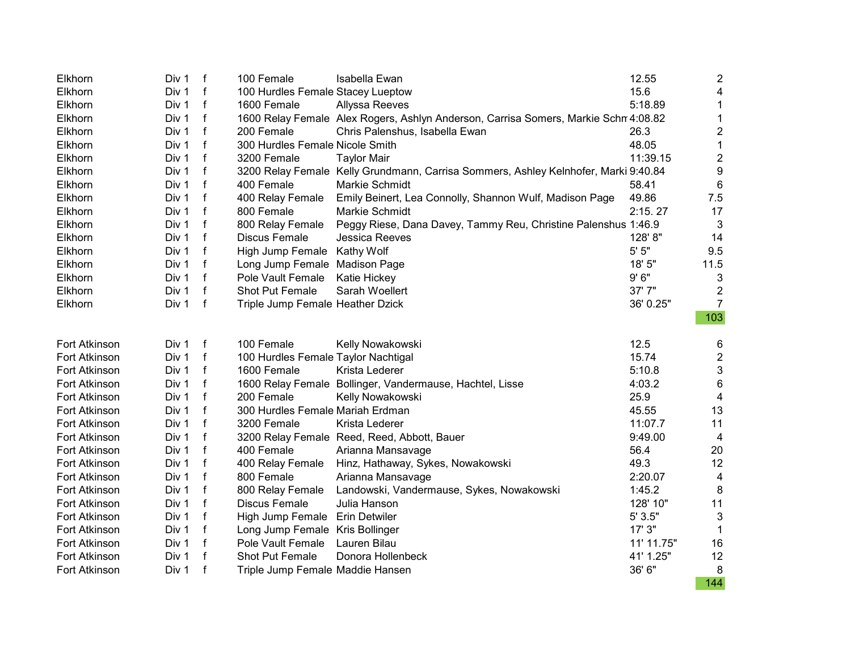| Elkhorn       | Div 1 | f            | 100 Female                          | Isabella Ewan                                                                       | 12.55      | $\overline{c}$            |
|---------------|-------|--------------|-------------------------------------|-------------------------------------------------------------------------------------|------------|---------------------------|
| Elkhorn       | Div 1 | f            | 100 Hurdles Female Stacey Lueptow   |                                                                                     | 15.6       | 4                         |
| Elkhorn       | Div 1 | $\mathsf{f}$ | 1600 Female                         | <b>Allyssa Reeves</b>                                                               | 5:18.89    | $\mathbf 1$               |
| Elkhorn       | Div 1 | f            |                                     | 1600 Relay Female Alex Rogers, Ashlyn Anderson, Carrisa Somers, Markie Schn 4:08.82 |            | $\mathbf 1$               |
| Elkhorn       | Div 1 | f            | 200 Female                          | Chris Palenshus, Isabella Ewan                                                      | 26.3       | $\overline{\mathbf{c}}$   |
| Elkhorn       | Div 1 | f            | 300 Hurdles Female Nicole Smith     |                                                                                     | 48.05      | $\mathbf 1$               |
| Elkhorn       | Div 1 | f            | 3200 Female                         | <b>Taylor Mair</b>                                                                  | 11:39.15   | $\boldsymbol{2}$          |
| Elkhorn       | Div 1 | f            |                                     | 3200 Relay Female Kelly Grundmann, Carrisa Sommers, Ashley Kelnhofer, Marki 9:40.84 |            | $\boldsymbol{9}$          |
| Elkhorn       | Div 1 | $\mathbf f$  | 400 Female                          | Markie Schmidt                                                                      | 58.41      | 6                         |
| Elkhorn       | Div 1 | f            | 400 Relay Female                    | Emily Beinert, Lea Connolly, Shannon Wulf, Madison Page                             | 49.86      | 7.5                       |
| Elkhorn       | Div 1 | f            | 800 Female                          | Markie Schmidt                                                                      | 2:15.27    | 17                        |
| Elkhorn       | Div 1 | f            |                                     | 800 Relay Female Peggy Riese, Dana Davey, Tammy Reu, Christine Palenshus 1:46.9     |            | 3                         |
| Elkhorn       | Div 1 | f            | Discus Female                       | <b>Jessica Reeves</b>                                                               | 128'8"     | 14                        |
| Elkhorn       | Div 1 | f            | High Jump Female Kathy Wolf         |                                                                                     | 5' 5"      | 9.5                       |
| Elkhorn       | Div 1 | f            | Long Jump Female Madison Page       |                                                                                     | 18' 5"     | 11.5                      |
| Elkhorn       | Div 1 | $\mathsf f$  | Pole Vault Female Katie Hickey      |                                                                                     | 9'6''      | 3                         |
| Elkhorn       | Div 1 | f            | <b>Shot Put Female</b>              | Sarah Woellert                                                                      | 37'7"      | $\overline{2}$            |
| Elkhorn       | Div 1 | f            | Triple Jump Female Heather Dzick    |                                                                                     | 36' 0.25"  | $\overline{7}$            |
|               |       |              |                                     |                                                                                     |            | 103                       |
| Fort Atkinson | Div 1 | f            | 100 Female                          | Kelly Nowakowski                                                                    | 12.5       | 6                         |
| Fort Atkinson | Div 1 | f            | 100 Hurdles Female Taylor Nachtigal |                                                                                     | 15.74      | $\overline{\mathbf{c}}$   |
| Fort Atkinson | Div 1 | f            | 1600 Female                         | Krista Lederer                                                                      | 5:10.8     | $\ensuremath{\mathsf{3}}$ |
| Fort Atkinson | Div 1 | f            |                                     | 1600 Relay Female Bollinger, Vandermause, Hachtel, Lisse                            | 4:03.2     | $6\phantom{1}6$           |
| Fort Atkinson | Div 1 | $\mathsf{f}$ | 200 Female                          | Kelly Nowakowski                                                                    | 25.9       | $\overline{\mathbf{4}}$   |
| Fort Atkinson | Div 1 | f            | 300 Hurdles Female Mariah Erdman    |                                                                                     | 45.55      | 13                        |
| Fort Atkinson | Div 1 | $\mathsf{f}$ | 3200 Female                         | Krista Lederer                                                                      | 11:07.7    | 11                        |
| Fort Atkinson | Div 1 | $\mathsf{f}$ |                                     | 3200 Relay Female Reed, Reed, Abbott, Bauer                                         | 9:49.00    | $\overline{4}$            |
| Fort Atkinson | Div 1 | $\mathsf{f}$ | 400 Female                          | Arianna Mansavage                                                                   | 56.4       | 20                        |
| Fort Atkinson | Div 1 | $\mathbf f$  | 400 Relay Female                    | Hinz, Hathaway, Sykes, Nowakowski                                                   | 49.3       | 12                        |
| Fort Atkinson | Div 1 | f            | 800 Female                          | Arianna Mansavage                                                                   | 2:20.07    | $\overline{\mathbf{4}}$   |
| Fort Atkinson | Div 1 | f            | 800 Relay Female                    | Landowski, Vandermause, Sykes, Nowakowski                                           | 1:45.2     | 8                         |
| Fort Atkinson | Div 1 | f            | <b>Discus Female</b>                | Julia Hanson                                                                        | 128' 10"   | 11                        |
| Fort Atkinson | Div 1 | f            | High Jump Female Erin Detwiler      |                                                                                     | 5' 3.5"    | 3                         |
| Fort Atkinson | Div 1 | f            | Long Jump Female Kris Bollinger     |                                                                                     | 17' 3"     | 1                         |
| Fort Atkinson | Div 1 | f            | Pole Vault Female                   | Lauren Bilau                                                                        | 11' 11.75" | 16                        |
| Fort Atkinson | Div 1 | f            | Shot Put Female                     | Donora Hollenbeck                                                                   | 41' 1.25"  | 12                        |
| Fort Atkinson | Div 1 | $\mathsf f$  | Triple Jump Female Maddie Hansen    |                                                                                     | 36' 6"     | 8                         |
|               |       |              |                                     |                                                                                     |            | 144                       |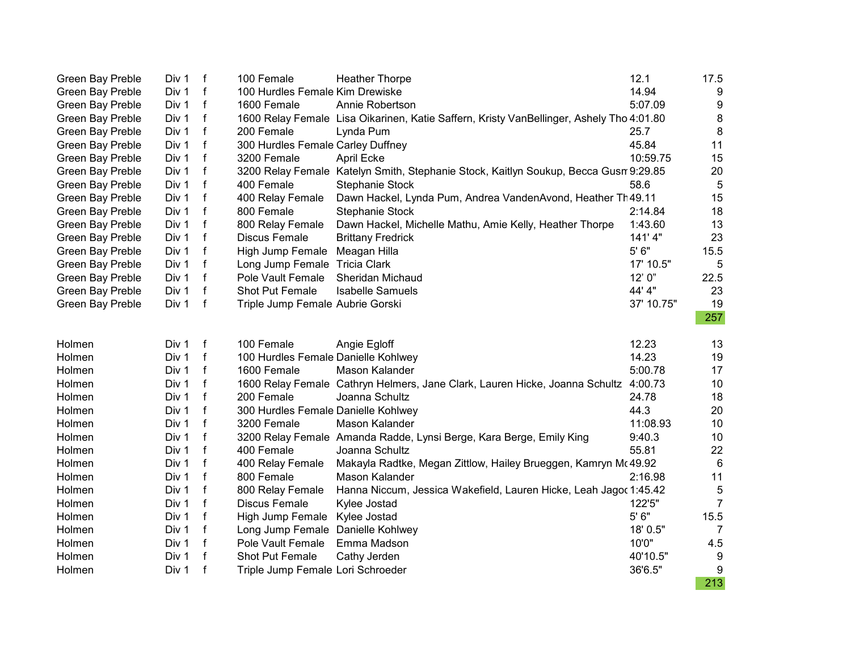| <b>Green Bay Preble</b> | Div 1 | f            | 100 Female                          | <b>Heather Thorpe</b>                                                                    | 12.1       | 17.5             |
|-------------------------|-------|--------------|-------------------------------------|------------------------------------------------------------------------------------------|------------|------------------|
| Green Bay Preble        | Div 1 | $\mathsf{f}$ | 100 Hurdles Female Kim Drewiske     |                                                                                          | 14.94      | 9                |
| Green Bay Preble        | Div 1 | $\mathsf{f}$ | 1600 Female                         | Annie Robertson                                                                          | 5:07.09    | 9                |
| Green Bay Preble        | Div 1 | f            |                                     | 1600 Relay Female Lisa Oikarinen, Katie Saffern, Kristy VanBellinger, Ashely Tho 4:01.80 |            | $\bf 8$          |
| Green Bay Preble        | Div 1 | f            | 200 Female                          | Lynda Pum                                                                                | 25.7       | $\bf 8$          |
| Green Bay Preble        | Div 1 | f            | 300 Hurdles Female Carley Duffney   |                                                                                          | 45.84      | 11               |
| Green Bay Preble        | Div 1 | f            | 3200 Female                         | April Ecke                                                                               | 10:59.75   | 15               |
| Green Bay Preble        | Div 1 | f            |                                     | 3200 Relay Female Katelyn Smith, Stephanie Stock, Kaitlyn Soukup, Becca Gusn 9:29.85     |            | 20               |
| Green Bay Preble        | Div 1 | f            | 400 Female                          | <b>Stephanie Stock</b>                                                                   | 58.6       | 5                |
| Green Bay Preble        | Div 1 | f            | 400 Relay Female                    | Dawn Hackel, Lynda Pum, Andrea VandenAvond, Heather Th49.11                              |            | 15               |
| <b>Green Bay Preble</b> | Div 1 | f            | 800 Female                          | <b>Stephanie Stock</b>                                                                   | 2:14.84    | 18               |
| Green Bay Preble        | Div 1 | f            | 800 Relay Female                    | Dawn Hackel, Michelle Mathu, Amie Kelly, Heather Thorpe                                  | 1:43.60    | 13               |
| Green Bay Preble        | Div 1 | $\mathsf{f}$ | <b>Discus Female</b>                | <b>Brittany Fredrick</b>                                                                 | 141'4"     | 23               |
| Green Bay Preble        | Div 1 | f            | High Jump Female                    | Meagan Hilla                                                                             | 5' 6"      | 15.5             |
| Green Bay Preble        | Div 1 | f            | Long Jump Female Tricia Clark       |                                                                                          | 17' 10.5"  | 5                |
| <b>Green Bay Preble</b> | Div 1 | $\mathsf{f}$ | Pole Vault Female                   | <b>Sheridan Michaud</b>                                                                  | 12'0''     | 22.5             |
| Green Bay Preble        | Div 1 | $\mathsf f$  | Shot Put Female                     | <b>Isabelle Samuels</b>                                                                  | 44' 4"     | 23               |
| Green Bay Preble        | Div 1 | $\mathsf f$  | Triple Jump Female Aubrie Gorski    |                                                                                          | 37' 10.75" | 19               |
|                         |       |              |                                     |                                                                                          |            | 257              |
| Holmen                  | Div 1 | $\mathbf f$  | 100 Female                          | Angie Egloff                                                                             | 12.23      | 13               |
| Holmen                  | Div 1 | f            | 100 Hurdles Female Danielle Kohlwey |                                                                                          | 14.23      | 19               |
| Holmen                  | Div 1 | f            | 1600 Female                         | Mason Kalander                                                                           | 5:00.78    | 17               |
| Holmen                  | Div 1 | f            |                                     | 1600 Relay Female Cathryn Helmers, Jane Clark, Lauren Hicke, Joanna Schultz              | 4:00.73    | 10               |
| Holmen                  | Div 1 | f            | 200 Female                          | Joanna Schultz                                                                           | 24.78      | 18               |
| Holmen                  | Div 1 | f            | 300 Hurdles Female Danielle Kohlwey |                                                                                          | 44.3       | 20               |
| Holmen                  | Div 1 | f            | 3200 Female                         | Mason Kalander                                                                           | 11:08.93   | 10               |
| Holmen                  | Div 1 | $\mathsf{f}$ |                                     | 3200 Relay Female Amanda Radde, Lynsi Berge, Kara Berge, Emily King                      | 9:40.3     | 10               |
| Holmen                  | Div 1 | f            | 400 Female                          | Joanna Schultz                                                                           | 55.81      | 22               |
| Holmen                  | Div 1 | f            | 400 Relay Female                    | Makayla Radtke, Megan Zittlow, Hailey Brueggen, Kamryn Mc 49.92                          |            | 6                |
| Holmen                  | Div 1 | f            | 800 Female                          | Mason Kalander                                                                           | 2:16.98    | 11               |
| Holmen                  | Div 1 | f            | 800 Relay Female                    | Hanna Niccum, Jessica Wakefield, Lauren Hicke, Leah Jagoc 1:45.42                        |            | 5                |
| Holmen                  | Div 1 | f            | <b>Discus Female</b>                | Kylee Jostad                                                                             | 122'5"     | $\overline{7}$   |
| Holmen                  | Div 1 | f            | High Jump Female                    | Kylee Jostad                                                                             | $5'6"$     | 15.5             |
| Holmen                  | Div 1 | f            | Long Jump Female Danielle Kohlwey   |                                                                                          | 18' 0.5"   | 7                |
| Holmen                  | Div 1 | f            | Pole Vault Female                   | Emma Madson                                                                              | 10'0"      | 4.5              |
| Holmen                  | Div 1 | f            | Shot Put Female                     | Cathy Jerden                                                                             | 40'10.5"   | 9                |
| Holmen                  | Div 1 | f            | Triple Jump Female Lori Schroeder   |                                                                                          | 36'6.5"    | $\boldsymbol{9}$ |
|                         |       |              |                                     |                                                                                          |            | 213              |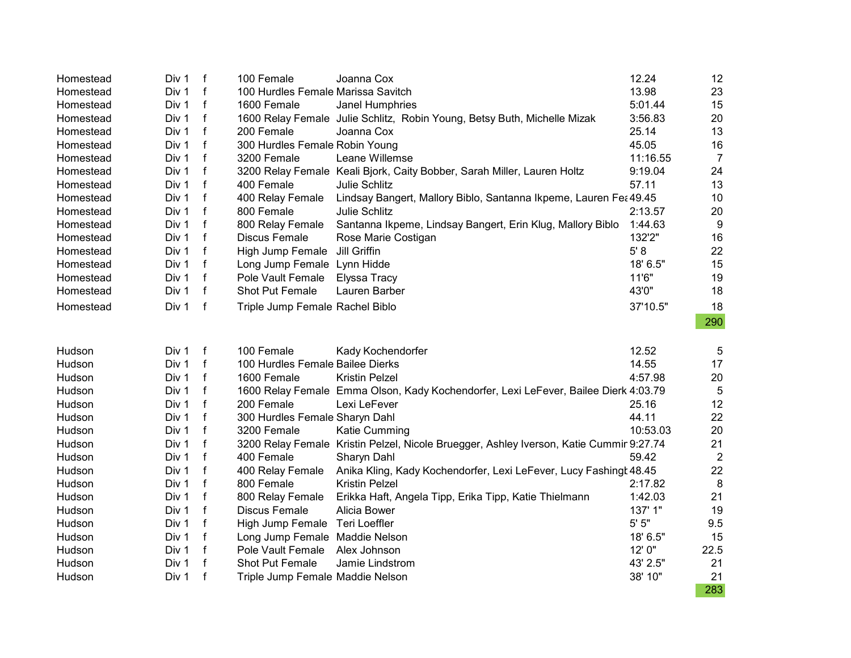| Homestead | Div 1 | $\mathsf f$  | 100 Female                         | Joanna Cox                                                                              | 12.24     | 12              |
|-----------|-------|--------------|------------------------------------|-----------------------------------------------------------------------------------------|-----------|-----------------|
| Homestead | Div 1 | f            | 100 Hurdles Female Marissa Savitch |                                                                                         | 13.98     | 23              |
| Homestead | Div 1 | $\mathsf{f}$ | 1600 Female                        | Janel Humphries                                                                         | 5:01.44   | 15              |
| Homestead | Div 1 | f            |                                    | 1600 Relay Female Julie Schlitz, Robin Young, Betsy Buth, Michelle Mizak                | 3:56.83   | 20              |
| Homestead | Div 1 | f            | 200 Female                         | Joanna Cox                                                                              | 25.14     | 13              |
| Homestead | Div 1 | f            | 300 Hurdles Female Robin Young     |                                                                                         | 45.05     | 16              |
| Homestead | Div 1 | f            | 3200 Female                        | Leane Willemse                                                                          | 11:16.55  | $\overline{7}$  |
| Homestead | Div 1 | f            |                                    | 3200 Relay Female Keali Bjork, Caity Bobber, Sarah Miller, Lauren Holtz                 | 9:19.04   | 24              |
| Homestead | Div 1 | f            | 400 Female                         | Julie Schlitz                                                                           | 57.11     | 13              |
| Homestead | Div 1 | f            | 400 Relay Female                   | Lindsay Bangert, Mallory Biblo, Santanna Ikpeme, Lauren Fea 49.45                       |           | 10              |
| Homestead | Div 1 | f            | 800 Female                         | Julie Schlitz                                                                           | 2:13.57   | 20              |
| Homestead | Div 1 | $\mathsf{f}$ | 800 Relay Female                   | Santanna Ikpeme, Lindsay Bangert, Erin Klug, Mallory Biblo                              | 1:44.63   | 9               |
| Homestead | Div 1 | f            | <b>Discus Female</b>               | Rose Marie Costigan                                                                     | 132'2"    | 16              |
| Homestead | Div 1 | f            | High Jump Female Jill Griffin      |                                                                                         | 5' 8      | 22              |
| Homestead | Div 1 | f            | Long Jump Female Lynn Hidde        |                                                                                         | 18' 6.5"  | 15              |
| Homestead | Div 1 | f            | Pole Vault Female                  | Elyssa Tracy                                                                            | 11'6"     | 19              |
| Homestead | Div 1 | $\mathsf f$  | <b>Shot Put Female</b>             | Lauren Barber                                                                           | 43'0"     | 18              |
| Homestead | Div 1 | f            | Triple Jump Female Rachel Biblo    |                                                                                         | 37'10.5"  | 18              |
|           |       |              |                                    |                                                                                         |           | 290             |
|           |       |              |                                    |                                                                                         |           |                 |
| Hudson    | Div 1 | f            | 100 Female                         | Kady Kochendorfer                                                                       | 12.52     | 5               |
| Hudson    | Div 1 | $\mathsf{f}$ | 100 Hurdles Female Bailee Dierks   |                                                                                         | 14.55     | 17              |
| Hudson    | Div 1 | f            | 1600 Female                        | <b>Kristin Pelzel</b>                                                                   | 4:57.98   | 20              |
| Hudson    | Div 1 | f            |                                    | 1600 Relay Female Emma Olson, Kady Kochendorfer, Lexi LeFever, Bailee Dierk 4:03.79     |           | $5\phantom{.0}$ |
| Hudson    | Div 1 | f            | 200 Female                         | Lexi LeFever                                                                            | 25.16     | 12              |
| Hudson    | Div 1 | f            | 300 Hurdles Female Sharyn Dahl     |                                                                                         | 44.11     | 22              |
| Hudson    | Div 1 | $\mathsf{f}$ | 3200 Female                        | Katie Cumming                                                                           | 10:53.03  | 20              |
| Hudson    | Div 1 | f            |                                    | 3200 Relay Female Kristin Pelzel, Nicole Bruegger, Ashley Iverson, Katie Cummir 9:27.74 |           | 21              |
| Hudson    | Div 1 | f            | 400 Female                         | Sharyn Dahl                                                                             | 59.42     | $\overline{2}$  |
| Hudson    | Div 1 | $\mathsf{f}$ | 400 Relay Female                   | Anika Kling, Kady Kochendorfer, Lexi LeFever, Lucy Fashingt 48.45                       |           | 22              |
| Hudson    | Div 1 | $\mathsf f$  | 800 Female                         | <b>Kristin Pelzel</b>                                                                   | 2:17.82   | 8               |
| Hudson    | Div 1 | f            | 800 Relay Female                   | Erikka Haft, Angela Tipp, Erika Tipp, Katie Thielmann                                   | 1:42.03   | 21              |
| Hudson    | Div 1 | f            | Discus Female                      | Alicia Bower                                                                            | 137' 1"   | 19              |
| Hudson    | Div 1 | f            | High Jump Female Teri Loeffler     |                                                                                         | $5'$ $5"$ | 9.5             |
| Hudson    | Div 1 | $\mathsf{f}$ | Long Jump Female Maddie Nelson     |                                                                                         | 18' 6.5"  | 15              |
| Hudson    | Div 1 | f            | Pole Vault Female                  | Alex Johnson                                                                            | 12' 0"    | 22.5            |
| Hudson    | Div 1 | f            | Shot Put Female                    | Jamie Lindstrom                                                                         | 43' 2.5"  | 21              |
| Hudson    | Div 1 | f            | Triple Jump Female Maddie Nelson   |                                                                                         | 38' 10"   | 21              |
|           |       |              |                                    |                                                                                         |           | 283             |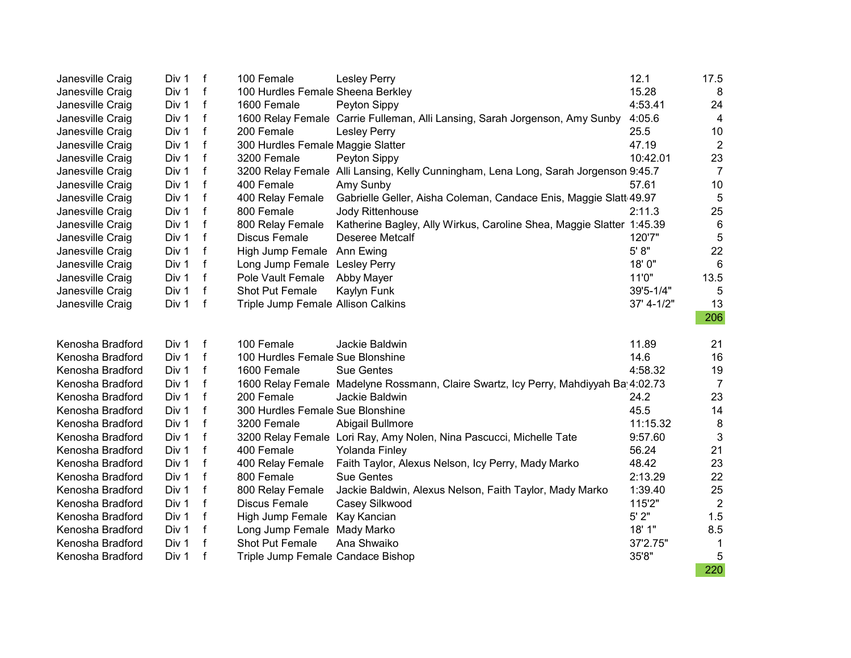| Janesville Craig | Div 1 | $\mathsf{f}$ | 100 Female                         | <b>Lesley Perry</b>                                                                 | 12.1       | 17.5           |
|------------------|-------|--------------|------------------------------------|-------------------------------------------------------------------------------------|------------|----------------|
| Janesville Craig | Div 1 | f            | 100 Hurdles Female Sheena Berkley  |                                                                                     | 15.28      | 8              |
| Janesville Craig | Div 1 | f            | 1600 Female                        | Peyton Sippy                                                                        | 4:53.41    | 24             |
| Janesville Craig | Div 1 | f            |                                    | 1600 Relay Female Carrie Fulleman, Alli Lansing, Sarah Jorgenson, Amy Sunby         | 4:05.6     | 4              |
| Janesville Craig | Div 1 | $\mathbf{f}$ | 200 Female                         | <b>Lesley Perry</b>                                                                 | 25.5       | 10             |
| Janesville Craig | Div 1 | $\mathsf{f}$ | 300 Hurdles Female Maggie Slatter  |                                                                                     | 47.19      | $\overline{2}$ |
| Janesville Craig | Div 1 | $\mathsf{f}$ | 3200 Female                        | Peyton Sippy                                                                        | 10:42.01   | 23             |
| Janesville Craig | Div 1 | $\mathsf f$  |                                    | 3200 Relay Female Alli Lansing, Kelly Cunningham, Lena Long, Sarah Jorgenson 9:45.7 |            | $\overline{7}$ |
| Janesville Craig | Div 1 | $\mathsf{f}$ | 400 Female                         | Amy Sunby                                                                           | 57.61      | 10             |
| Janesville Craig | Div 1 | $\mathsf f$  | 400 Relay Female                   | Gabrielle Geller, Aisha Coleman, Candace Enis, Maggie Slatt 49.97                   |            | 5              |
| Janesville Craig | Div 1 | f            | 800 Female                         | Jody Rittenhouse                                                                    | 2:11.3     | 25             |
| Janesville Craig | Div 1 | $\mathsf f$  | 800 Relay Female                   | Katherine Bagley, Ally Wirkus, Caroline Shea, Maggie Slatter 1:45.39                |            | 6              |
| Janesville Craig | Div 1 | f            | <b>Discus Female</b>               | <b>Deseree Metcalf</b>                                                              | 120'7"     | 5              |
| Janesville Craig | Div 1 | $\mathbf f$  | High Jump Female Ann Ewing         |                                                                                     | 5' 8"      | 22             |
| Janesville Craig | Div 1 | f            | Long Jump Female Lesley Perry      |                                                                                     | 18'0"      | 6              |
| Janesville Craig | Div 1 | $\mathbf f$  | Pole Vault Female                  | Abby Mayer                                                                          | 11'0"      | 13.5           |
| Janesville Craig | Div 1 | f            | Shot Put Female                    | Kaylyn Funk                                                                         | 39'5-1/4"  | 5              |
| Janesville Craig | Div 1 | $\mathsf f$  | Triple Jump Female Allison Calkins |                                                                                     | 37' 4-1/2" | 13             |
|                  |       |              |                                    |                                                                                     |            | 206            |
| Kenosha Bradford | Div 1 | $\mathsf{f}$ | 100 Female                         | Jackie Baldwin                                                                      | 11.89      | 21             |
| Kenosha Bradford | Div 1 | f            | 100 Hurdles Female Sue Blonshine   |                                                                                     | 14.6       | 16             |
| Kenosha Bradford | Div 1 | $\mathbf f$  | 1600 Female                        | <b>Sue Gentes</b>                                                                   | 4:58.32    | 19             |
| Kenosha Bradford | Div 1 | f            |                                    | 1600 Relay Female Madelyne Rossmann, Claire Swartz, Icy Perry, Mahdiyyah Ba 4:02.73 |            | $\overline{7}$ |
| Kenosha Bradford | Div 1 | $\mathsf{f}$ | 200 Female                         | Jackie Baldwin                                                                      | 24.2       | 23             |
| Kenosha Bradford | Div 1 | f            | 300 Hurdles Female Sue Blonshine   |                                                                                     | 45.5       | 14             |
| Kenosha Bradford | Div 1 | $\mathsf{f}$ | 3200 Female                        | Abigail Bullmore                                                                    | 11:15.32   | 8              |
| Kenosha Bradford | Div 1 | f            |                                    | 3200 Relay Female Lori Ray, Amy Nolen, Nina Pascucci, Michelle Tate                 | 9:57.60    | $\mathbf{3}$   |
| Kenosha Bradford | Div 1 | f            | 400 Female                         | Yolanda Finley                                                                      | 56.24      | 21             |
| Kenosha Bradford | Div 1 | $\mathbf f$  | 400 Relay Female                   | Faith Taylor, Alexus Nelson, Icy Perry, Mady Marko                                  | 48.42      | 23             |
| Kenosha Bradford | Div 1 | f            | 800 Female                         | <b>Sue Gentes</b>                                                                   | 2:13.29    | 22             |
| Kenosha Bradford | Div 1 | $\mathbf f$  | 800 Relay Female                   | Jackie Baldwin, Alexus Nelson, Faith Taylor, Mady Marko                             | 1:39.40    | 25             |
| Kenosha Bradford | Div 1 | $\mathbf f$  | <b>Discus Female</b>               | Casey Silkwood                                                                      | 115'2"     | $\overline{2}$ |
| Kenosha Bradford | Div 1 | f            | High Jump Female Kay Kancian       |                                                                                     | 5'2"       | 1.5            |
| Kenosha Bradford | Div 1 | $\mathsf{f}$ | Long Jump Female Mady Marko        |                                                                                     | 18' 1"     | 8.5            |
| Kenosha Bradford | Div 1 | f            | Shot Put Female                    | Ana Shwaiko                                                                         | 37'2.75"   | $\mathbf{1}$   |
| Kenosha Bradford | Div 1 | $\mathsf f$  | Triple Jump Female Candace Bishop  |                                                                                     | 35'8"      | 5              |
|                  |       |              |                                    |                                                                                     |            | 220            |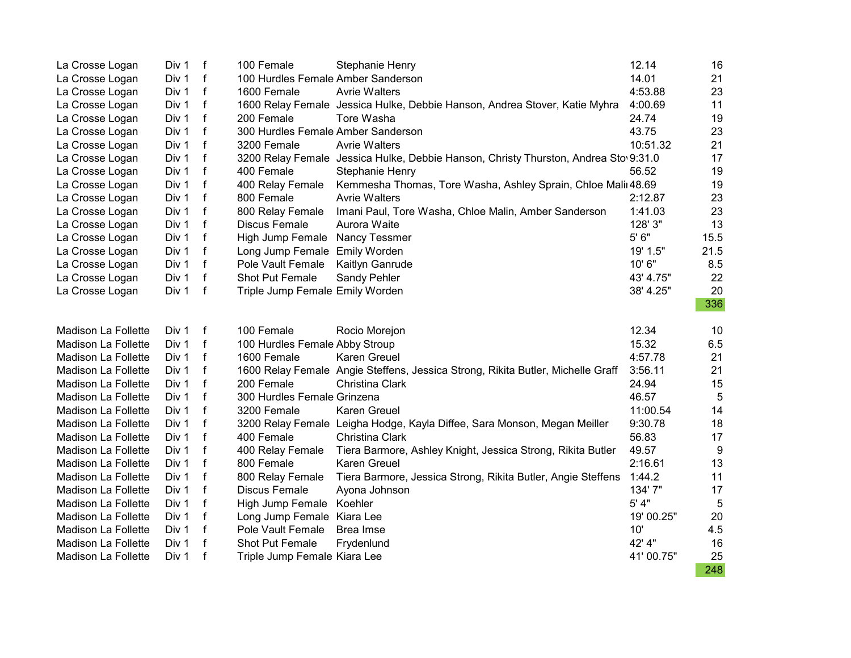| La Crosse Logan     | Div 1 | f            | 100 Female                         | <b>Stephanie Henry</b>                                                              | 12.14      | 16   |
|---------------------|-------|--------------|------------------------------------|-------------------------------------------------------------------------------------|------------|------|
| La Crosse Logan     | Div 1 | $\mathsf f$  | 100 Hurdles Female Amber Sanderson |                                                                                     | 14.01      | 21   |
| La Crosse Logan     | Div 1 | $\mathsf{f}$ | 1600 Female                        | <b>Avrie Walters</b>                                                                | 4:53.88    | 23   |
| La Crosse Logan     | Div 1 | f            |                                    | 1600 Relay Female Jessica Hulke, Debbie Hanson, Andrea Stover, Katie Myhra          | 4:00.69    | 11   |
| La Crosse Logan     | Div 1 | f            | 200 Female                         | Tore Washa                                                                          | 24.74      | 19   |
| La Crosse Logan     | Div 1 | f            | 300 Hurdles Female Amber Sanderson |                                                                                     | 43.75      | 23   |
| La Crosse Logan     | Div 1 | f            | 3200 Female                        | <b>Avrie Walters</b>                                                                | 10:51.32   | 21   |
| La Crosse Logan     | Div 1 | f            |                                    | 3200 Relay Female Jessica Hulke, Debbie Hanson, Christy Thurston, Andrea Sto 9:31.0 |            | 17   |
| La Crosse Logan     | Div 1 | f            | 400 Female                         | <b>Stephanie Henry</b>                                                              | 56.52      | 19   |
| La Crosse Logan     | Div 1 | f            | 400 Relay Female                   | Kemmesha Thomas, Tore Washa, Ashley Sprain, Chloe Malir 48.69                       |            | 19   |
| La Crosse Logan     | Div 1 | f            | 800 Female                         | <b>Avrie Walters</b>                                                                | 2:12.87    | 23   |
| La Crosse Logan     | Div 1 | f            | 800 Relay Female                   | Imani Paul, Tore Washa, Chloe Malin, Amber Sanderson                                | 1:41.03    | 23   |
| La Crosse Logan     | Div 1 | f            | Discus Female                      | Aurora Waite                                                                        | 128' 3"    | 13   |
| La Crosse Logan     | Div 1 | f            | High Jump Female Nancy Tessmer     |                                                                                     | 5' 6"      | 15.5 |
| La Crosse Logan     | Div 1 | $\mathsf{f}$ | Long Jump Female Emily Worden      |                                                                                     | 19' 1.5"   | 21.5 |
| La Crosse Logan     | Div 1 | f            | Pole Vault Female                  | Kaitlyn Ganrude                                                                     | 10' 6"     | 8.5  |
| La Crosse Logan     | Div 1 | $\mathsf{f}$ | Shot Put Female                    | Sandy Pehler                                                                        | 43' 4.75"  | 22   |
| La Crosse Logan     | Div 1 | f            | Triple Jump Female Emily Worden    |                                                                                     | 38' 4.25"  | 20   |
|                     |       |              |                                    |                                                                                     |            | 336  |
| Madison La Follette | Div 1 | f            | 100 Female                         | Rocio Morejon                                                                       | 12.34      | 10   |
| Madison La Follette | Div 1 | f            | 100 Hurdles Female Abby Stroup     |                                                                                     | 15.32      | 6.5  |
| Madison La Follette | Div 1 | f            | 1600 Female                        | Karen Greuel                                                                        | 4:57.78    | 21   |
| Madison La Follette | Div 1 | f            |                                    | 1600 Relay Female Angie Steffens, Jessica Strong, Rikita Butler, Michelle Graff     | 3:56.11    | 21   |
| Madison La Follette | Div 1 | f            | 200 Female                         | Christina Clark                                                                     | 24.94      | 15   |
| Madison La Follette | Div 1 | f            | 300 Hurdles Female Grinzena        |                                                                                     | 46.57      | 5    |
| Madison La Follette | Div 1 | f            | 3200 Female                        | Karen Greuel                                                                        | 11:00.54   | 14   |
| Madison La Follette | Div 1 | $\mathsf{f}$ |                                    | 3200 Relay Female Leigha Hodge, Kayla Diffee, Sara Monson, Megan Meiller            | 9:30.78    | 18   |
| Madison La Follette | Div 1 | f            | 400 Female                         | Christina Clark                                                                     | 56.83      | 17   |
| Madison La Follette | Div 1 | f            | 400 Relay Female                   | Tiera Barmore, Ashley Knight, Jessica Strong, Rikita Butler                         | 49.57      | 9    |
| Madison La Follette | Div 1 | f            | 800 Female                         | <b>Karen Greuel</b>                                                                 | 2:16.61    | 13   |
| Madison La Follette | Div 1 | f            | 800 Relay Female                   | Tiera Barmore, Jessica Strong, Rikita Butler, Angie Steffens                        | 1:44.2     | 11   |
| Madison La Follette | Div 1 | f            | <b>Discus Female</b>               | Ayona Johnson                                                                       | 134'7"     | 17   |
| Madison La Follette | Div 1 | f            | High Jump Female Koehler           |                                                                                     | 5' 4"      | 5    |
| Madison La Follette | Div 1 | f            | Long Jump Female Kiara Lee         |                                                                                     | 19' 00.25" | 20   |
| Madison La Follette | Div 1 | f            | Pole Vault Female                  | Brea Imse                                                                           | 10'        | 4.5  |
| Madison La Follette | Div 1 | f            | Shot Put Female                    | Frydenlund                                                                          | 42' 4"     | 16   |
| Madison La Follette | Div 1 | f            | Triple Jump Female Kiara Lee       |                                                                                     | 41'00.75"  | 25   |
|                     |       |              |                                    |                                                                                     |            | 248  |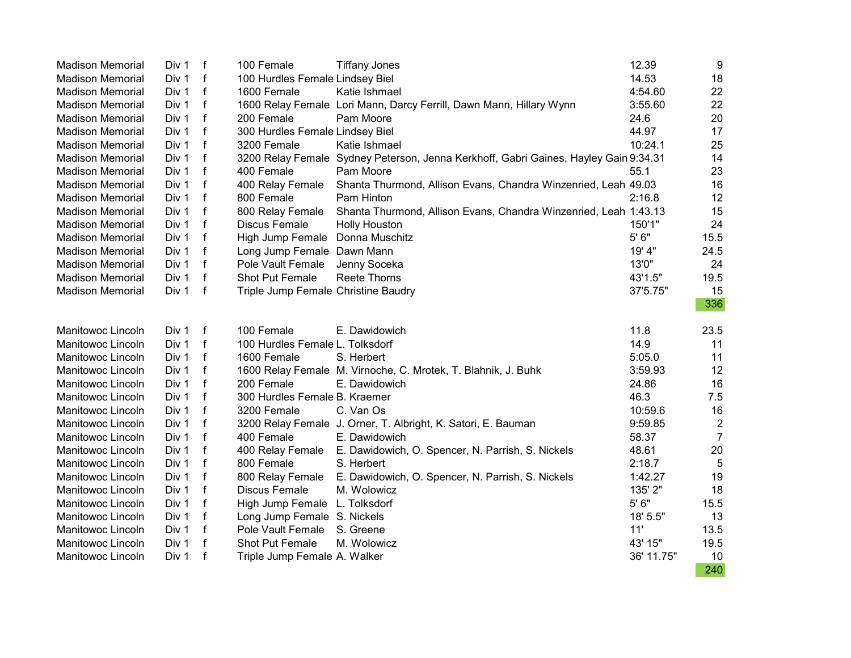| <b>Madison Memorial</b> | Div 1 | f            | 100 Female                          | <b>Tiffany Jones</b>                                                                 | 12.39      | $9\,$          |
|-------------------------|-------|--------------|-------------------------------------|--------------------------------------------------------------------------------------|------------|----------------|
| <b>Madison Memorial</b> | Div 1 | f            | 100 Hurdles Female Lindsey Biel     |                                                                                      | 14.53      | 18             |
| <b>Madison Memorial</b> | Div 1 | $\mathsf{f}$ | 1600 Female                         | Katie Ishmael                                                                        | 4:54.60    | 22             |
| <b>Madison Memorial</b> | Div 1 | $\mathsf{f}$ |                                     | 1600 Relay Female Lori Mann, Darcy Ferrill, Dawn Mann, Hillary Wynn                  | 3:55.60    | 22             |
| <b>Madison Memorial</b> | Div 1 | f            | 200 Female                          | Pam Moore                                                                            | 24.6       | 20             |
| <b>Madison Memorial</b> | Div 1 | f            | 300 Hurdles Female Lindsey Biel     |                                                                                      | 44.97      | 17             |
| <b>Madison Memorial</b> | Div 1 | $\mathbf f$  | 3200 Female                         | Katie Ishmael                                                                        | 10:24.1    | 25             |
| <b>Madison Memorial</b> | Div 1 | f            |                                     | 3200 Relay Female Sydney Peterson, Jenna Kerkhoff, Gabri Gaines, Hayley Gain 9:34.31 |            | 14             |
| <b>Madison Memorial</b> | Div 1 | f            | 400 Female                          | Pam Moore                                                                            | 55.1       | 23             |
| <b>Madison Memorial</b> | Div 1 | f            | 400 Relay Female                    | Shanta Thurmond, Allison Evans, Chandra Winzenried, Leah 49.03                       |            | 16             |
| <b>Madison Memorial</b> | Div 1 | f            | 800 Female                          | Pam Hinton                                                                           | 2:16.8     | 12             |
| <b>Madison Memorial</b> | Div 1 | f            | 800 Relay Female                    | Shanta Thurmond, Allison Evans, Chandra Winzenried, Leah 1:43.13                     |            | 15             |
| <b>Madison Memorial</b> | Div 1 | f            | <b>Discus Female</b>                | <b>Holly Houston</b>                                                                 | 150'1"     | 24             |
| <b>Madison Memorial</b> | Div 1 | $\mathsf f$  | High Jump Female Donna Muschitz     |                                                                                      | 5' 6"      | 15.5           |
| <b>Madison Memorial</b> | Div 1 | $\mathsf f$  | Long Jump Female Dawn Mann          |                                                                                      | 19' 4"     | 24.5           |
| <b>Madison Memorial</b> | Div 1 | f            | Pole Vault Female                   | Jenny Soceka                                                                         | 13'0"      | 24             |
| <b>Madison Memorial</b> | Div 1 | $\mathsf{f}$ | <b>Shot Put Female</b>              | <b>Reete Thorns</b>                                                                  | 43'1.5"    | 19.5           |
| <b>Madison Memorial</b> | Div 1 | f            | Triple Jump Female Christine Baudry |                                                                                      | 37'5.75"   | 15             |
|                         |       |              |                                     |                                                                                      |            | 336            |
| Manitowoc Lincoln       | Div 1 | f            | 100 Female                          | E. Dawidowich                                                                        | 11.8       | 23.5           |
| Manitowoc Lincoln       | Div 1 | f            | 100 Hurdles Female L. Tolksdorf     |                                                                                      | 14.9       | 11             |
| Manitowoc Lincoln       | Div 1 | f            | 1600 Female                         | S. Herbert                                                                           | 5:05.0     | 11             |
| Manitowoc Lincoln       | Div 1 | f            |                                     | 1600 Relay Female M. Virnoche, C. Mrotek, T. Blahnik, J. Buhk                        | 3:59.93    | 12             |
| Manitowoc Lincoln       | Div 1 | f            | 200 Female                          | E. Dawidowich                                                                        | 24.86      | 16             |
| Manitowoc Lincoln       | Div 1 | $\mathsf{f}$ | 300 Hurdles Female B. Kraemer       |                                                                                      | 46.3       | 7.5            |
| Manitowoc Lincoln       | Div 1 | f            | 3200 Female                         | C. Van Os                                                                            | 10:59.6    | 16             |
| Manitowoc Lincoln       | Div 1 | f            |                                     | 3200 Relay Female J. Orner, T. Albright, K. Satori, E. Bauman                        | 9:59.85    | $\overline{2}$ |
| Manitowoc Lincoln       | Div 1 | $\mathsf{f}$ | 400 Female                          | E. Dawidowich                                                                        | 58.37      | $\overline{7}$ |
| Manitowoc Lincoln       | Div 1 | $\mathsf f$  | 400 Relay Female                    | E. Dawidowich, O. Spencer, N. Parrish, S. Nickels                                    | 48.61      | 20             |
| Manitowoc Lincoln       | Div 1 | f            | 800 Female                          | S. Herbert                                                                           | 2:18.7     | 5              |
| Manitowoc Lincoln       | Div 1 | f            | 800 Relay Female                    | E. Dawidowich, O. Spencer, N. Parrish, S. Nickels                                    | 1:42.27    | 19             |
| Manitowoc Lincoln       | Div 1 | f            | <b>Discus Female</b>                | M. Wolowicz                                                                          | 135' 2"    | 18             |
| Manitowoc Lincoln       | Div 1 | $\mathsf{f}$ | High Jump Female L. Tolksdorf       |                                                                                      | 5' 6"      | 15.5           |
| Manitowoc Lincoln       | Div 1 | f            | Long Jump Female S. Nickels         |                                                                                      | 18' 5.5"   | 13             |
| Manitowoc Lincoln       | Div 1 | f            | Pole Vault Female                   | S. Greene                                                                            | 11'        | 13.5           |
| Manitowoc Lincoln       | Div 1 | $\mathsf{f}$ | Shot Put Female                     | M. Wolowicz                                                                          | 43' 15"    | 19.5           |
| Manitowoc Lincoln       | Div 1 | f            | Triple Jump Female A. Walker        |                                                                                      | 36' 11.75" | 10             |
|                         |       |              |                                     |                                                                                      |            | 240            |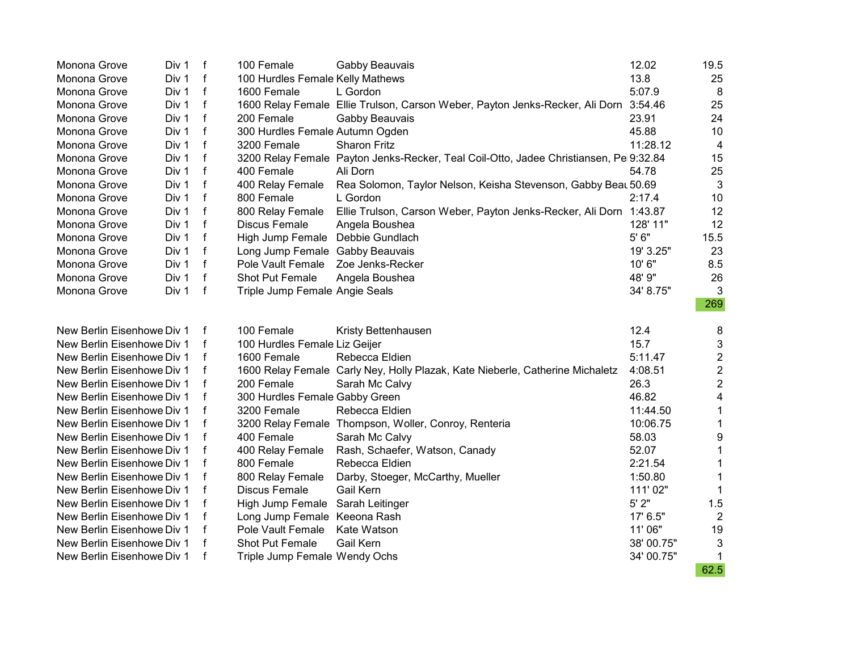| Monona Grove               | Div 1 | $\mathbf f$  | 100 Female                         | Gabby Beauvais                                                                        | 12.02      | 19.5           |
|----------------------------|-------|--------------|------------------------------------|---------------------------------------------------------------------------------------|------------|----------------|
| Monona Grove               | Div 1 | $\mathsf f$  | 100 Hurdles Female Kelly Mathews   |                                                                                       | 13.8       | 25             |
| Monona Grove               | Div 1 | $\mathsf{f}$ | 1600 Female                        | L Gordon                                                                              | 5:07.9     | 8              |
| Monona Grove               | Div 1 | $\mathsf f$  |                                    | 1600 Relay Female Ellie Trulson, Carson Weber, Payton Jenks-Recker, Ali Dorn 3:54.46  |            | 25             |
| Monona Grove               | Div 1 | f            | 200 Female                         | Gabby Beauvais                                                                        | 23.91      | 24             |
| Monona Grove               | Div 1 | f            | 300 Hurdles Female Autumn Ogden    |                                                                                       | 45.88      | 10             |
| Monona Grove               | Div 1 | f            | 3200 Female                        | <b>Sharon Fritz</b>                                                                   | 11:28.12   | 4              |
| Monona Grove               | Div 1 | f            |                                    | 3200 Relay Female Payton Jenks-Recker, Teal Coil-Otto, Jadee Christiansen, Pe 9:32.84 |            | 15             |
| Monona Grove               | Div 1 | f            | 400 Female                         | Ali Dorn                                                                              | 54.78      | 25             |
| Monona Grove               | Div 1 | $\mathsf f$  | 400 Relay Female                   | Rea Solomon, Taylor Nelson, Keisha Stevenson, Gabby Beat 50.69                        |            | 3              |
| Monona Grove               | Div 1 | f            | 800 Female                         | L Gordon                                                                              | 2:17.4     | 10             |
| Monona Grove               | Div 1 | f            | 800 Relay Female                   | Ellie Trulson, Carson Weber, Payton Jenks-Recker, Ali Dorn 1:43.87                    |            | 12             |
| Monona Grove               | Div 1 | f            | Discus Female                      | Angela Boushea                                                                        | 128' 11"   | 12             |
| Monona Grove               | Div 1 | $\mathsf f$  | High Jump Female Debbie Gundlach   |                                                                                       | 5' 6"      | 15.5           |
| Monona Grove               | Div 1 | $\mathsf{f}$ | Long Jump Female Gabby Beauvais    |                                                                                       | 19' 3.25"  | 23             |
| Monona Grove               | Div 1 | $\mathsf{f}$ | Pole Vault Female Zoe Jenks-Recker |                                                                                       | 10'6"      | 8.5            |
| Monona Grove               | Div 1 | $\mathsf{f}$ | <b>Shot Put Female</b>             | Angela Boushea                                                                        | 48' 9"     | 26             |
| Monona Grove               | Div 1 | $\mathsf{f}$ | Triple Jump Female Angie Seals     |                                                                                       | 34' 8.75"  | 3              |
|                            |       |              |                                    |                                                                                       |            | 269            |
| New Berlin Eisenhowe Div 1 |       |              | 100 Female                         | Kristy Bettenhausen                                                                   | 12.4       | 8              |
| New Berlin Eisenhowe Div 1 |       |              | 100 Hurdles Female Liz Geijer      |                                                                                       | 15.7       | 3              |
| New Berlin Eisenhowe Div 1 |       |              | 1600 Female                        | Rebecca Eldien                                                                        | 5:11.47    | $\overline{c}$ |
| New Berlin Eisenhowe Div 1 |       |              |                                    | 1600 Relay Female Carly Ney, Holly Plazak, Kate Nieberle, Catherine Michaletz         | 4:08.51    | $\overline{c}$ |
| New Berlin Eisenhowe Div 1 |       | f            | 200 Female                         | Sarah Mc Calvy                                                                        | 26.3       | $\overline{2}$ |
| New Berlin Eisenhowe Div 1 |       |              | 300 Hurdles Female Gabby Green     |                                                                                       | 46.82      | 4              |
| New Berlin Eisenhowe Div 1 |       | f            | 3200 Female                        | Rebecca Eldien                                                                        | 11:44.50   | 1              |
| New Berlin Eisenhowe Div 1 |       | f            |                                    | 3200 Relay Female Thompson, Woller, Conroy, Renteria                                  | 10:06.75   | 1              |
| New Berlin Eisenhowe Div 1 |       | f            | 400 Female                         | Sarah Mc Calvy                                                                        | 58.03      | 9              |
| New Berlin Eisenhowe Div 1 |       | f            | 400 Relay Female                   | Rash, Schaefer, Watson, Canady                                                        | 52.07      | 1              |
| New Berlin Eisenhowe Div 1 |       | f            | 800 Female                         | Rebecca Eldien                                                                        | 2:21.54    | 1              |
| New Berlin Eisenhowe Div 1 |       |              | 800 Relay Female                   | Darby, Stoeger, McCarthy, Mueller                                                     | 1:50.80    | 1              |
| New Berlin Eisenhowe Div 1 |       |              | Discus Female                      | Gail Kern                                                                             | 111'02"    | 1              |
| New Berlin Eisenhowe Div 1 |       |              | High Jump Female Sarah Leitinger   |                                                                                       | 5'2"       | 1.5            |
| New Berlin Eisenhowe Div 1 |       |              | Long Jump Female Keeona Rash       |                                                                                       | 17' 6.5"   | $\overline{2}$ |
| New Berlin Eisenhowe Div 1 |       |              | Pole Vault Female                  | Kate Watson                                                                           | 11'06"     | 19             |
| New Berlin Eisenhowe Div 1 |       | f            | Shot Put Female                    | Gail Kern                                                                             | 38' 00.75" | 3              |
| New Berlin Eisenhowe Div 1 |       |              | Triple Jump Female Wendy Ochs      |                                                                                       | 34' 00.75" | 1              |
|                            |       |              |                                    |                                                                                       |            | 62.5           |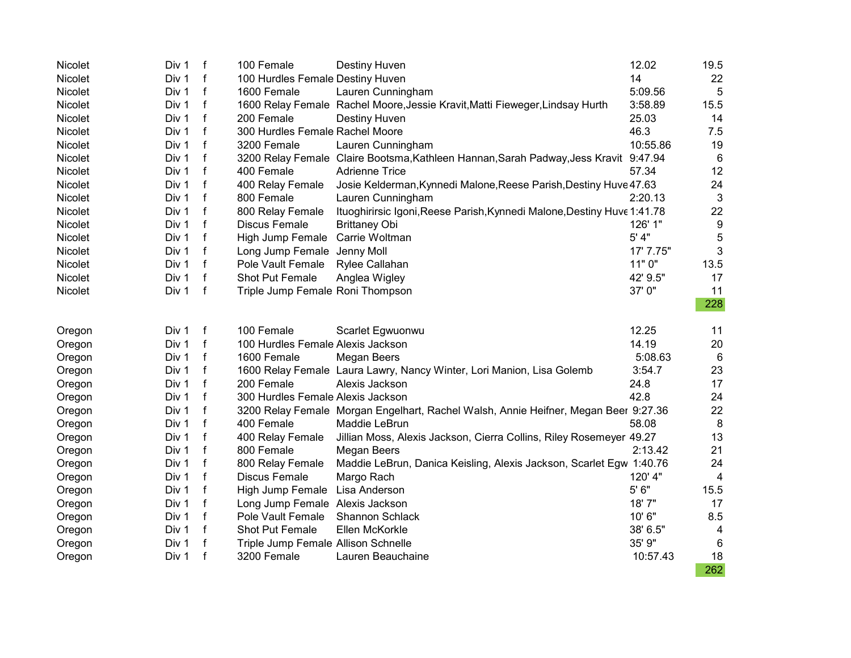| Nicolet | Div 1 | $\mathsf{f}$ | 100 Female                          | Destiny Huven                                                                       | 12.02     | 19.5             |
|---------|-------|--------------|-------------------------------------|-------------------------------------------------------------------------------------|-----------|------------------|
| Nicolet | Div 1 | f            | 100 Hurdles Female Destiny Huven    |                                                                                     | 14        | 22               |
| Nicolet | Div 1 | $\mathsf{f}$ | 1600 Female                         | Lauren Cunningham                                                                   | 5:09.56   | 5                |
| Nicolet | Div 1 | $\mathsf{f}$ |                                     | 1600 Relay Female Rachel Moore, Jessie Kravit, Matti Fieweger, Lindsay Hurth        | 3:58.89   | 15.5             |
| Nicolet | Div 1 | $\mathsf f$  | 200 Female                          | Destiny Huven                                                                       | 25.03     | 14               |
| Nicolet | Div 1 | $\mathsf{f}$ | 300 Hurdles Female Rachel Moore     |                                                                                     | 46.3      | 7.5              |
| Nicolet | Div 1 | f            | 3200 Female                         | Lauren Cunningham                                                                   | 10:55.86  | 19               |
| Nicolet | Div 1 | f            |                                     | 3200 Relay Female Claire Bootsma, Kathleen Hannan, Sarah Padway, Jess Kravit        | 9:47.94   | 6                |
| Nicolet | Div 1 | f            | 400 Female                          | <b>Adrienne Trice</b>                                                               | 57.34     | 12               |
| Nicolet | Div 1 | f            | 400 Relay Female                    | Josie Kelderman, Kynnedi Malone, Reese Parish, Destiny Huve 47.63                   |           | 24               |
| Nicolet | Div 1 | f            | 800 Female                          | Lauren Cunningham                                                                   | 2:20.13   | 3                |
| Nicolet | Div 1 | f            | 800 Relay Female                    | Ituoghirirsic Igoni, Reese Parish, Kynnedi Malone, Destiny Huve 1:41.78             |           | 22               |
| Nicolet | Div 1 | $\mathsf{f}$ | <b>Discus Female</b>                | <b>Brittaney Obi</b>                                                                | 126' 1"   | $\boldsymbol{9}$ |
| Nicolet | Div 1 | f            | High Jump Female Carrie Woltman     |                                                                                     | 5' 4"     | 5                |
| Nicolet | Div 1 | $\mathsf{f}$ | Long Jump Female Jenny Moll         |                                                                                     | 17' 7.75" | 3                |
| Nicolet | Div 1 | $\mathsf f$  | Pole Vault Female                   | Rylee Callahan                                                                      | 11" 0"    | 13.5             |
| Nicolet | Div 1 | $\mathsf f$  | Shot Put Female                     | Anglea Wigley                                                                       | 42' 9.5"  | 17               |
| Nicolet | Div 1 | $\mathsf{f}$ | Triple Jump Female Roni Thompson    |                                                                                     | 37'0"     | 11               |
|         |       |              |                                     |                                                                                     |           | 228              |
| Oregon  | Div 1 | f            | 100 Female                          | Scarlet Egwuonwu                                                                    | 12.25     | 11               |
| Oregon  | Div 1 | $\mathsf{f}$ | 100 Hurdles Female Alexis Jackson   |                                                                                     | 14.19     | 20               |
| Oregon  | Div 1 | $\mathsf f$  | 1600 Female                         | Megan Beers                                                                         | 5:08.63   | 6                |
| Oregon  | Div 1 | $\mathsf{f}$ |                                     | 1600 Relay Female Laura Lawry, Nancy Winter, Lori Manion, Lisa Golemb               | 3:54.7    | 23               |
| Oregon  | Div 1 | $\mathsf{f}$ | 200 Female                          | Alexis Jackson                                                                      | 24.8      | 17               |
| Oregon  | Div 1 | $\mathsf{f}$ | 300 Hurdles Female Alexis Jackson   |                                                                                     | 42.8      | 24               |
| Oregon  | Div 1 | $\mathbf f$  |                                     | 3200 Relay Female Morgan Engelhart, Rachel Walsh, Annie Heifner, Megan Beer 9:27.36 |           | 22               |
| Oregon  | Div 1 | $\mathbf f$  | 400 Female                          | Maddie LeBrun                                                                       | 58.08     | 8                |
| Oregon  | Div 1 | f            | 400 Relay Female                    | Jillian Moss, Alexis Jackson, Cierra Collins, Riley Rosemeyer 49.27                 |           | 13               |
| Oregon  | Div 1 | $\mathsf f$  | 800 Female                          | Megan Beers                                                                         | 2:13.42   | 21               |
| Oregon  | Div 1 | f            | 800 Relay Female                    | Maddie LeBrun, Danica Keisling, Alexis Jackson, Scarlet Egw 1:40.76                 |           | 24               |
| Oregon  | Div 1 | f            | Discus Female                       | Margo Rach                                                                          | 120' 4"   | 4                |
| Oregon  | Div 1 | f            | High Jump Female Lisa Anderson      |                                                                                     | 5' 6"     | 15.5             |
| Oregon  | Div 1 | f            | Long Jump Female Alexis Jackson     |                                                                                     | 18'7"     | 17               |
| Oregon  | Div 1 | $\mathbf f$  | Pole Vault Female                   | Shannon Schlack                                                                     | 10'6"     | 8.5              |
| Oregon  | Div 1 | f            | Shot Put Female                     | Ellen McKorkle                                                                      | 38' 6.5"  | 4                |
| Oregon  | Div 1 | f            | Triple Jump Female Allison Schnelle |                                                                                     | 35' 9"    | 6                |
| Oregon  | Div 1 | $\mathsf f$  | 3200 Female                         | Lauren Beauchaine                                                                   | 10:57.43  | 18               |
|         |       |              |                                     |                                                                                     |           | 262              |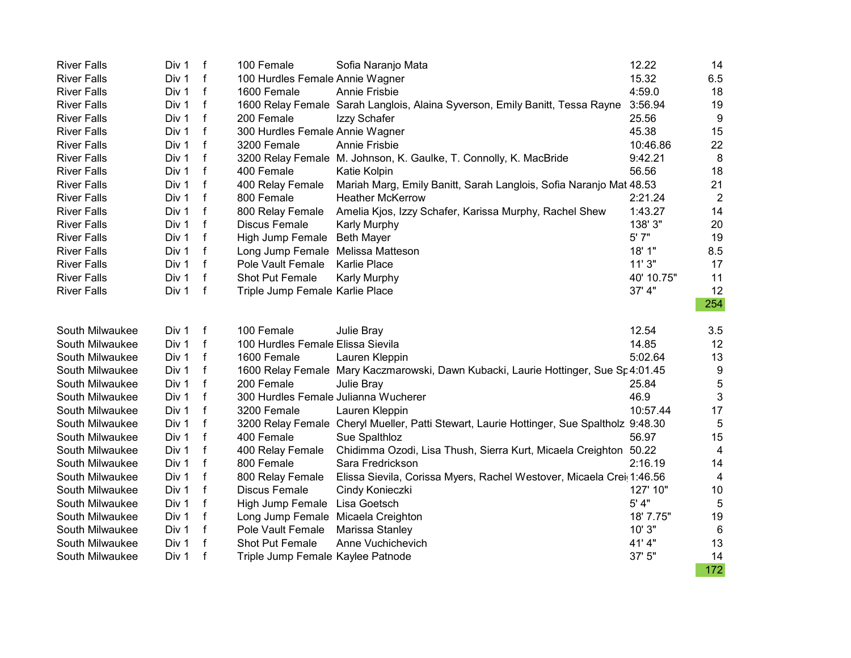| <b>River Falls</b> | Div 1 | $\mathsf{f}$ | 100 Female                           | Sofia Naranjo Mata                                                                       | 12.22      | 14               |
|--------------------|-------|--------------|--------------------------------------|------------------------------------------------------------------------------------------|------------|------------------|
| <b>River Falls</b> | Div 1 | f            | 100 Hurdles Female Annie Wagner      |                                                                                          | 15.32      | 6.5              |
| <b>River Falls</b> | Div 1 | f            | 1600 Female                          | Annie Frisbie                                                                            | 4:59.0     | 18               |
| <b>River Falls</b> | Div 1 | $\mathbf{f}$ |                                      | 1600 Relay Female Sarah Langlois, Alaina Syverson, Emily Banitt, Tessa Rayne             | 3:56.94    | 19               |
| <b>River Falls</b> | Div 1 | $\mathsf{f}$ | 200 Female                           | Izzy Schafer                                                                             | 25.56      | 9                |
| <b>River Falls</b> | Div 1 | f            | 300 Hurdles Female Annie Wagner      |                                                                                          | 45.38      | 15               |
| <b>River Falls</b> | Div 1 | $\mathsf{f}$ | 3200 Female                          | <b>Annie Frisbie</b>                                                                     | 10:46.86   | 22               |
| <b>River Falls</b> | Div 1 | f            |                                      | 3200 Relay Female M. Johnson, K. Gaulke, T. Connolly, K. MacBride                        | 9:42.21    | 8                |
| <b>River Falls</b> | Div 1 | f            | 400 Female                           | Katie Kolpin                                                                             | 56.56      | 18               |
| <b>River Falls</b> | Div 1 | f            | 400 Relay Female                     | Mariah Marg, Emily Banitt, Sarah Langlois, Sofia Naranjo Mat 48.53                       |            | 21               |
| <b>River Falls</b> | Div 1 | f            | 800 Female                           | <b>Heather McKerrow</b>                                                                  | 2:21.24    | $\overline{2}$   |
| <b>River Falls</b> | Div 1 | f            | 800 Relay Female                     | Amelia Kjos, Izzy Schafer, Karissa Murphy, Rachel Shew                                   | 1:43.27    | 14               |
| <b>River Falls</b> | Div 1 | $\mathsf{f}$ | <b>Discus Female</b>                 | Karly Murphy                                                                             | 138' 3"    | 20               |
| <b>River Falls</b> | Div 1 | $\mathbf f$  | High Jump Female Beth Mayer          |                                                                                          | 5' 7"      | 19               |
| <b>River Falls</b> | Div 1 | f            | Long Jump Female Melissa Matteson    |                                                                                          | 18' 1"     | 8.5              |
| <b>River Falls</b> | Div 1 | $\mathsf{f}$ | Pole Vault Female                    | Karlie Place                                                                             | 11'3"      | 17               |
| <b>River Falls</b> | Div 1 | $\mathsf{f}$ | Shot Put Female                      | Karly Murphy                                                                             | 40' 10.75" | 11               |
| <b>River Falls</b> | Div 1 | $\mathsf{f}$ | Triple Jump Female Karlie Place      |                                                                                          | 37' 4"     | 12               |
|                    |       |              |                                      |                                                                                          |            | 254              |
| South Milwaukee    | Div 1 | $\mathsf{f}$ | 100 Female                           | Julie Bray                                                                               | 12.54      | 3.5              |
| South Milwaukee    | Div 1 | f            | 100 Hurdles Female Elissa Sievila    |                                                                                          | 14.85      | 12               |
| South Milwaukee    | Div 1 | f            | 1600 Female                          | Lauren Kleppin                                                                           | 5:02.64    | 13               |
| South Milwaukee    | Div 1 | $\mathsf{f}$ |                                      | 1600 Relay Female Mary Kaczmarowski, Dawn Kubacki, Laurie Hottinger, Sue Sp 4:01.45      |            | $\boldsymbol{9}$ |
| South Milwaukee    | Div 1 | f            | 200 Female                           | Julie Bray                                                                               | 25.84      | $\overline{5}$   |
| South Milwaukee    | Div 1 | f            | 300 Hurdles Female Julianna Wucherer |                                                                                          | 46.9       | 3                |
| South Milwaukee    | Div 1 | $\mathsf{f}$ | 3200 Female                          | Lauren Kleppin                                                                           | 10:57.44   | 17               |
| South Milwaukee    | Div 1 | f            |                                      | 3200 Relay Female Cheryl Mueller, Patti Stewart, Laurie Hottinger, Sue Spaltholz 9:48.30 |            | 5                |
| South Milwaukee    | Div 1 | f            | 400 Female                           | Sue Spalthloz                                                                            | 56.97      | 15               |
| South Milwaukee    | Div 1 | f            | 400 Relay Female                     | Chidimma Ozodi, Lisa Thush, Sierra Kurt, Micaela Creighton 50.22                         |            | 4                |
| South Milwaukee    | Div 1 | f            | 800 Female                           | Sara Fredrickson                                                                         | 2:16.19    | 14               |
| South Milwaukee    | Div 1 | f            | 800 Relay Female                     | Elissa Sievila, Corissa Myers, Rachel Westover, Micaela Crei 1:46.56                     |            | 4                |
| South Milwaukee    | Div 1 | $\mathbf f$  | Discus Female                        | Cindy Konieczki                                                                          | 127' 10"   | 10               |
| South Milwaukee    | Div 1 | f            | High Jump Female Lisa Goetsch        |                                                                                          | $5'$ 4"    | 5                |
| South Milwaukee    | Div 1 | $\mathsf{f}$ | Long Jump Female Micaela Creighton   |                                                                                          | 18' 7.75"  | 19               |
| South Milwaukee    | Div 1 | f            | Pole Vault Female                    | Marissa Stanley                                                                          | 10' 3"     | 6                |
| South Milwaukee    | Div 1 | $\mathbf f$  | <b>Shot Put Female</b>               | Anne Vuchichevich                                                                        | 41'4"      | 13               |
| South Milwaukee    | Div 1 | f            | Triple Jump Female Kaylee Patnode    |                                                                                          | 37' 5"     | 14               |
|                    |       |              |                                      |                                                                                          |            | 172              |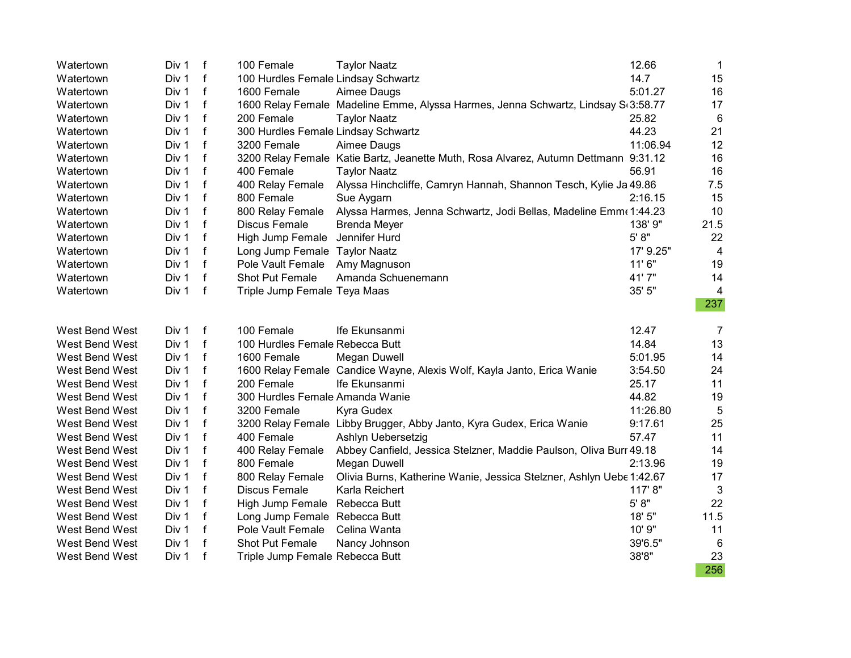| Watertown      | Div 1 | $\mathsf f$  | 100 Female                          | <b>Taylor Naatz</b>                                                                 | 12.66     | $\mathbf{1}$   |
|----------------|-------|--------------|-------------------------------------|-------------------------------------------------------------------------------------|-----------|----------------|
| Watertown      | Div 1 | f            | 100 Hurdles Female Lindsay Schwartz |                                                                                     | 14.7      | 15             |
| Watertown      | Div 1 | f            | 1600 Female                         | Aimee Daugs                                                                         | 5:01.27   | 16             |
| Watertown      | Div 1 | $\mathsf{f}$ |                                     | 1600 Relay Female Madeline Emme, Alyssa Harmes, Jenna Schwartz, Lindsay S(3:58.77   |           | 17             |
| Watertown      | Div 1 | $\mathsf{f}$ | 200 Female                          | <b>Taylor Naatz</b>                                                                 | 25.82     | $\,6\,$        |
| Watertown      | Div 1 | f            | 300 Hurdles Female Lindsay Schwartz |                                                                                     | 44.23     | 21             |
| Watertown      | Div 1 | f            | 3200 Female                         | Aimee Daugs                                                                         | 11:06.94  | 12             |
| Watertown      | Div 1 | f            |                                     | 3200 Relay Female Katie Bartz, Jeanette Muth, Rosa Alvarez, Autumn Dettmann 9:31.12 |           | 16             |
| Watertown      | Div 1 | f            | 400 Female                          | <b>Taylor Naatz</b>                                                                 | 56.91     | 16             |
| Watertown      | Div 1 | f            | 400 Relay Female                    | Alyssa Hinchcliffe, Camryn Hannah, Shannon Tesch, Kylie Ja 49.86                    |           | 7.5            |
| Watertown      | Div 1 | f            | 800 Female                          | Sue Aygarn                                                                          | 2:16.15   | 15             |
| Watertown      | Div 1 | f            | 800 Relay Female                    | Alyssa Harmes, Jenna Schwartz, Jodi Bellas, Madeline Emm (1:44.23                   |           | 10             |
| Watertown      | Div 1 | f            | Discus Female                       | <b>Brenda Meyer</b>                                                                 | 138' 9"   | 21.5           |
| Watertown      | Div 1 | f            | High Jump Female Jennifer Hurd      |                                                                                     | 5' 8''    | 22             |
| Watertown      | Div 1 | $\mathsf f$  | Long Jump Female Taylor Naatz       |                                                                                     | 17' 9.25" | $\overline{4}$ |
| Watertown      | Div 1 | $\mathsf{f}$ | Pole Vault Female                   | Amy Magnuson                                                                        | 11'6''    | 19             |
| Watertown      | Div 1 | $\mathsf{f}$ | <b>Shot Put Female</b>              | Amanda Schuenemann                                                                  | 41'7"     | 14             |
| Watertown      | Div 1 | $\mathsf{f}$ | Triple Jump Female Teya Maas        |                                                                                     | 35' 5"    | 4              |
|                |       |              |                                     |                                                                                     |           | 237            |
| West Bend West | Div 1 | f            | 100 Female                          | Ife Ekunsanmi                                                                       | 12.47     | $\overline{7}$ |
| West Bend West | Div 1 | $\mathsf f$  | 100 Hurdles Female Rebecca Butt     |                                                                                     | 14.84     | 13             |
| West Bend West | Div 1 | f            | 1600 Female                         | Megan Duwell                                                                        | 5:01.95   | 14             |
| West Bend West | Div 1 | $\mathsf{f}$ |                                     | 1600 Relay Female Candice Wayne, Alexis Wolf, Kayla Janto, Erica Wanie              | 3:54.50   | 24             |
| West Bend West | Div 1 | $\mathsf{f}$ | 200 Female                          | Ife Ekunsanmi                                                                       | 25.17     | 11             |
| West Bend West | Div 1 | f            | 300 Hurdles Female Amanda Wanie     |                                                                                     | 44.82     | 19             |
| West Bend West | Div 1 | $\mathsf{f}$ | 3200 Female                         | Kyra Gudex                                                                          | 11:26.80  | 5              |
| West Bend West | Div 1 | $\mathsf{f}$ |                                     | 3200 Relay Female Libby Brugger, Abby Janto, Kyra Gudex, Erica Wanie                | 9:17.61   | 25             |
| West Bend West | Div 1 | $\mathsf f$  | 400 Female                          | Ashlyn Uebersetzig                                                                  | 57.47     | 11             |
| West Bend West | Div 1 | f            | 400 Relay Female                    | Abbey Canfield, Jessica Stelzner, Maddie Paulson, Oliva Burr 49.18                  |           | 14             |
| West Bend West | Div 1 | $\mathsf{f}$ | 800 Female                          | Megan Duwell                                                                        | 2:13.96   | 19             |
| West Bend West | Div 1 | f            | 800 Relay Female                    | Olivia Burns, Katherine Wanie, Jessica Stelzner, Ashlyn Uebe 1:42.67                |           | 17             |
| West Bend West | Div 1 | f            | Discus Female                       | Karla Reichert                                                                      | 117' 8"   | 3              |
| West Bend West | Div 1 | f            | High Jump Female Rebecca Butt       |                                                                                     | $5' 8"$   | 22             |
| West Bend West | Div 1 | f            | Long Jump Female Rebecca Butt       |                                                                                     | 18' 5"    | 11.5           |
| West Bend West | Div 1 | f            | Pole Vault Female                   | Celina Wanta                                                                        | 10' 9"    | 11             |
| West Bend West | Div 1 | f            | Shot Put Female                     | Nancy Johnson                                                                       | 39'6.5"   | 6              |
| West Bend West | Div 1 | $\mathbf f$  | Triple Jump Female Rebecca Butt     |                                                                                     | 38'8"     | 23             |
|                |       |              |                                     |                                                                                     |           | 256            |